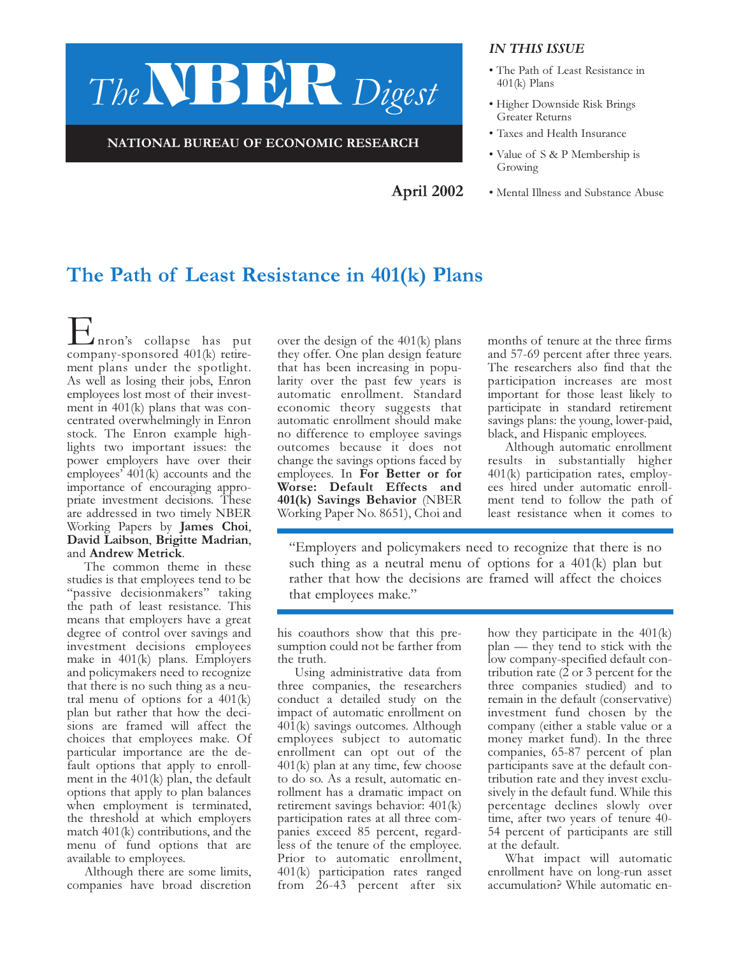

NATIONAL BUREAU OF ECONOMIC RESEARCH

#### IN THIS ISSUE

- The Path of Least Resistance in 401(k) Plans
- Higher Downside Risk Brings Greater Returns
- Taxes and Health Insurance
- Value of S & P Membership is Growing
- Mental Illness and Substance Abuse April 2002

# The Path of Least Resistance in 401(k) Plans

Enron's collapse has put company-sponsored 401(k) retirement plans under the spotlight. As well as losing their jobs, Enron employees lost most of their investment in 401(k) plans that was concentrated overwhelmingly in Enron stock. The Enron example highlights two important issues: the power employers have over their employees' 401(k) accounts and the importance of encouraging appropriate investment decisions. These are addressed in two timely NBER Working Papers by James Choi, David Laibson, Brigitte Madrian, and Andrew Metrick.

The common theme in these studies is that employees tend to be "passive decisionmakers" taking the path of least resistance. This means that employers have a great degree of control over savings and investment decisions employees make in 401(k) plans. Employers and policymakers need to recognize that there is no such thing as a neutral menu of options for a  $401(k)$ plan but rather that how the decisions are framed will affect the choices that employees make. Of particular importance are the default options that apply to enrollment in the 401(k) plan, the default options that apply to plan balances when employment is terminated, the threshold at which employers match 401(k) contributions, and the menu of fund options that are available to employees.

Although there are some limits, companies have broad discretion

over the design of the 401(k) plans they offer. One plan design feature that has been increasing in popularity over the past few years is automatic enrollment. Standard economic theory suggests that automatic enrollment should make no difference to employee savings outcomes because it does not change the savings options faced by employees. In For Better or for Worse: Default Effects and 401(k) Savings Behavior (NBER Working Paper No. 8651), Choi and months of tenure at the three firms and 57-69 percent after three years. The researchers also find that the participation increases are most important for those least likely to participate in standard retirement savings plans: the young, lower-paid, black, and Hispanic employees.

Although automatic enrollment results in substantially higher 401(k) participation rates, employees hired under automatic enrollment tend to follow the path of least resistance when it comes to

"Employers and policymakers need to recognize that there is no such thing as a neutral menu of options for a 401(k) plan but rather that how the decisions are framed will affect the choices that employees make."

his coauthors show that this presumption could not be farther from the truth.

Using administrative data from three companies, the researchers conduct a detailed study on the impact of automatic enrollment on 401(k) savings outcomes. Although employees subject to automatic enrollment can opt out of the 401(k) plan at any time, few choose to do so. As a result, automatic enrollment has a dramatic impact on retirement savings behavior: 401(k) participation rates at all three companies exceed 85 percent, regardless of the tenure of the employee. Prior to automatic enrollment, 401(k) participation rates ranged from 26-43 percent after six

how they participate in the 401(k) plan — they tend to stick with the low company-specified default contribution rate  $(2 \text{ or } 3 \text{ percent for the})$ three companies studied) and to remain in the default (conservative) investment fund chosen by the company (either a stable value or a money market fund). In the three companies, 65-87 percent of plan participants save at the default contribution rate and they invest exclusively in the default fund. While this percentage declines slowly over time, after two years of tenure 40- 54 percent of participants are still at the default.

What impact will automatic enrollment have on long-run asset accumulation? While automatic en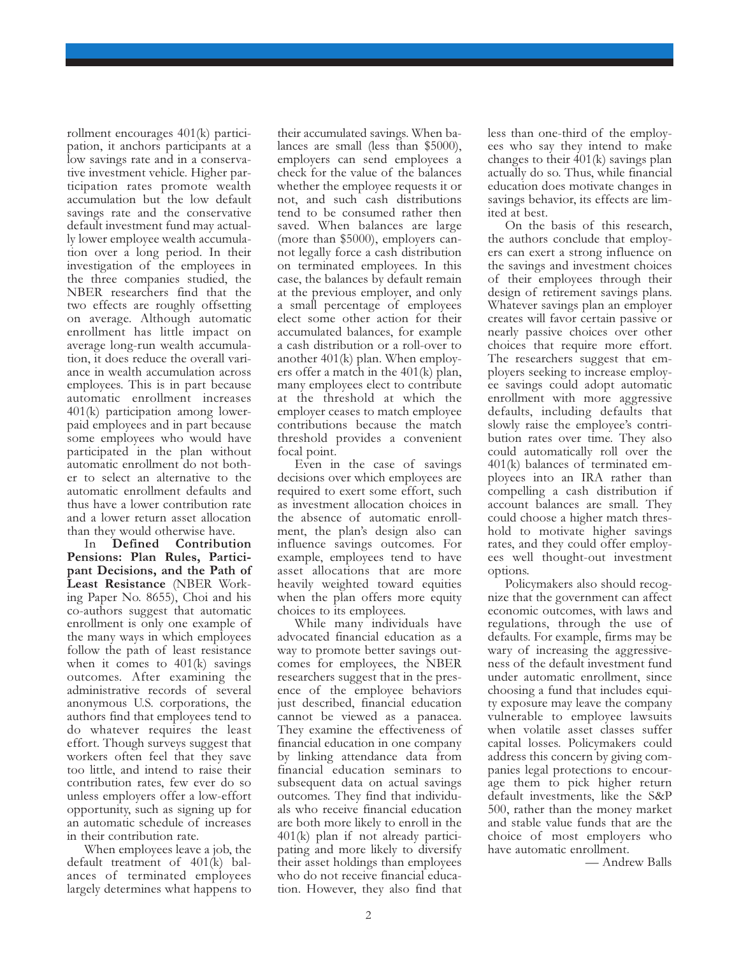rollment encourages 401(k) participation, it anchors participants at a low savings rate and in a conservative investment vehicle. Higher participation rates promote wealth accumulation but the low default savings rate and the conservative default investment fund may actually lower employee wealth accumulation over a long period. In their investigation of the employees in the three companies studied, the NBER researchers find that the two effects are roughly offsetting on average. Although automatic enrollment has little impact on average long-run wealth accumulation, it does reduce the overall variance in wealth accumulation across employees. This is in part because automatic enrollment increases 401(k) participation among lowerpaid employees and in part because some employees who would have participated in the plan without automatic enrollment do not bother to select an alternative to the automatic enrollment defaults and thus have a lower contribution rate and a lower return asset allocation than they would otherwise have.

In Defined Contribution Pensions: Plan Rules, Participant Decisions, and the Path of Least Resistance (NBER Working Paper No. 8655), Choi and his co-authors suggest that automatic enrollment is only one example of the many ways in which employees follow the path of least resistance when it comes to  $401(k)$  savings outcomes. After examining the administrative records of several anonymous U.S. corporations, the authors find that employees tend to do whatever requires the least effort. Though surveys suggest that workers often feel that they save too little, and intend to raise their contribution rates, few ever do so unless employers offer a low-effort opportunity, such as signing up for an automatic schedule of increases in their contribution rate.

When employees leave a job, the default treatment of 401(k) balances of terminated employees largely determines what happens to

their accumulated savings. When balances are small (less than \$5000), employers can send employees a check for the value of the balances whether the employee requests it or not, and such cash distributions tend to be consumed rather then saved. When balances are large (more than \$5000), employers cannot legally force a cash distribution on terminated employees. In this case, the balances by default remain at the previous employer, and only a small percentage of employees elect some other action for their accumulated balances, for example a cash distribution or a roll-over to another 401(k) plan. When employers offer a match in the 401(k) plan, many employees elect to contribute at the threshold at which the employer ceases to match employee contributions because the match threshold provides a convenient focal point.

Even in the case of savings decisions over which employees are required to exert some effort, such as investment allocation choices in the absence of automatic enrollment, the plan's design also can influence savings outcomes. For example, employees tend to have asset allocations that are more heavily weighted toward equities when the plan offers more equity choices to its employees.

While many individuals have advocated financial education as a way to promote better savings outcomes for employees, the NBER researchers suggest that in the presence of the employee behaviors just described, financial education cannot be viewed as a panacea. They examine the effectiveness of financial education in one company by linking attendance data from financial education seminars to subsequent data on actual savings outcomes. They find that individuals who receive financial education are both more likely to enroll in the 401(k) plan if not already participating and more likely to diversify their asset holdings than employees who do not receive financial education. However, they also find that less than one-third of the employees who say they intend to make changes to their 401(k) savings plan actually do so. Thus, while financial education does motivate changes in savings behavior, its effects are limited at best.

On the basis of this research, the authors conclude that employers can exert a strong influence on the savings and investment choices of their employees through their design of retirement savings plans. Whatever savings plan an employer creates will favor certain passive or nearly passive choices over other choices that require more effort. The researchers suggest that employers seeking to increase employee savings could adopt automatic enrollment with more aggressive defaults, including defaults that slowly raise the employee's contribution rates over time. They also could automatically roll over the 401(k) balances of terminated employees into an IRA rather than compelling a cash distribution if account balances are small. They could choose a higher match threshold to motivate higher savings rates, and they could offer employees well thought-out investment options.

Policymakers also should recognize that the government can affect economic outcomes, with laws and regulations, through the use of defaults. For example, firms may be wary of increasing the aggressiveness of the default investment fund under automatic enrollment, since choosing a fund that includes equity exposure may leave the company vulnerable to employee lawsuits when volatile asset classes suffer capital losses. Policymakers could address this concern by giving companies legal protections to encourage them to pick higher return default investments, like the S&P 500, rather than the money market and stable value funds that are the choice of most employers who have automatic enrollment.

— Andrew Balls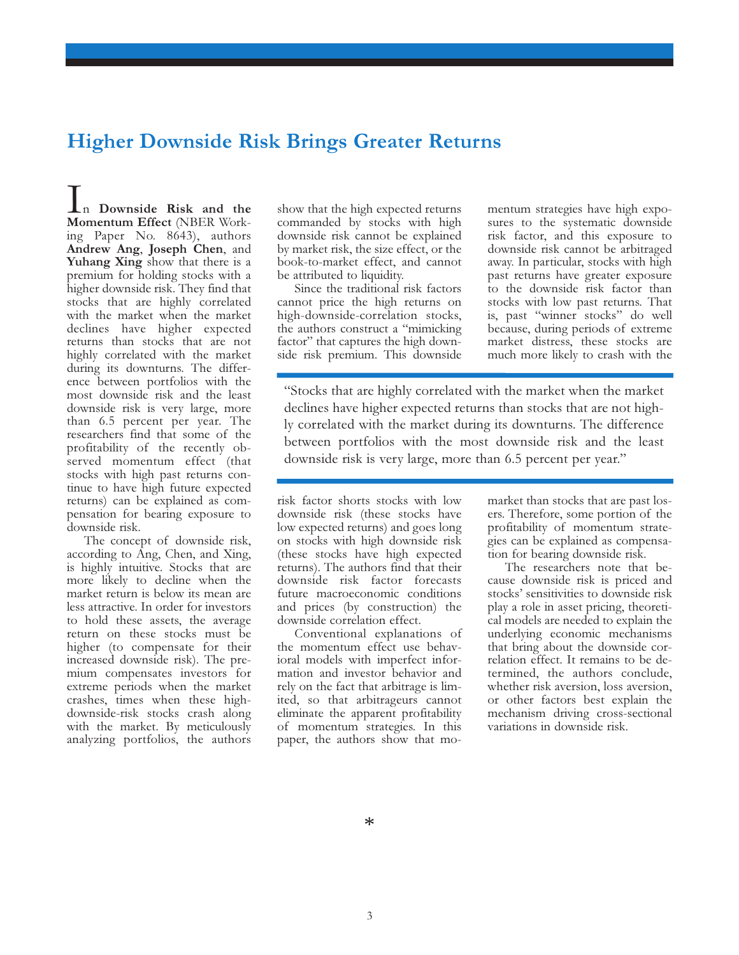## Higher Downside Risk Brings Greater Returns

In Downside Risk and the Momentum Effect (NBER Working Paper No. 8643), authors Andrew Ang, Joseph Chen, and Yuhang Xing show that there is a premium for holding stocks with a higher downside risk. They find that stocks that are highly correlated with the market when the market declines have higher expected returns than stocks that are not highly correlated with the market during its downturns. The difference between portfolios with the most downside risk and the least downside risk is very large, more than 6.5 percent per year. The researchers find that some of the profitability of the recently observed momentum effect (that stocks with high past returns continue to have high future expected returns) can be explained as compensation for bearing exposure to downside risk.

The concept of downside risk, according to Ang, Chen, and Xing, is highly intuitive. Stocks that are more likely to decline when the market return is below its mean are less attractive. In order for investors to hold these assets, the average return on these stocks must be higher (to compensate for their increased downside risk). The premium compensates investors for extreme periods when the market crashes, times when these highdownside-risk stocks crash along with the market. By meticulously analyzing portfolios, the authors

show that the high expected returns commanded by stocks with high downside risk cannot be explained by market risk, the size effect, or the book-to-market effect, and cannot be attributed to liquidity.

Since the traditional risk factors cannot price the high returns on high-downside-correlation stocks, the authors construct a "mimicking factor" that captures the high downside risk premium. This downside mentum strategies have high exposures to the systematic downside risk factor, and this exposure to downside risk cannot be arbitraged away. In particular, stocks with high past returns have greater exposure to the downside risk factor than stocks with low past returns. That is, past "winner stocks" do well because, during periods of extreme market distress, these stocks are much more likely to crash with the

"Stocks that are highly correlated with the market when the market declines have higher expected returns than stocks that are not highly correlated with the market during its downturns. The difference between portfolios with the most downside risk and the least downside risk is very large, more than 6.5 percent per year."

risk factor shorts stocks with low downside risk (these stocks have low expected returns) and goes long on stocks with high downside risk (these stocks have high expected returns). The authors find that their downside risk factor forecasts future macroeconomic conditions and prices (by construction) the downside correlation effect.

Conventional explanations of the momentum effect use behavioral models with imperfect information and investor behavior and rely on the fact that arbitrage is limited, so that arbitrageurs cannot eliminate the apparent profitability of momentum strategies. In this paper, the authors show that momarket than stocks that are past losers. Therefore, some portion of the profitability of momentum strategies can be explained as compensation for bearing downside risk.

The researchers note that because downside risk is priced and stocks' sensitivities to downside risk play a role in asset pricing, theoretical models are needed to explain the underlying economic mechanisms that bring about the downside correlation effect. It remains to be determined, the authors conclude, whether risk aversion, loss aversion, or other factors best explain the mechanism driving cross-sectional variations in downside risk.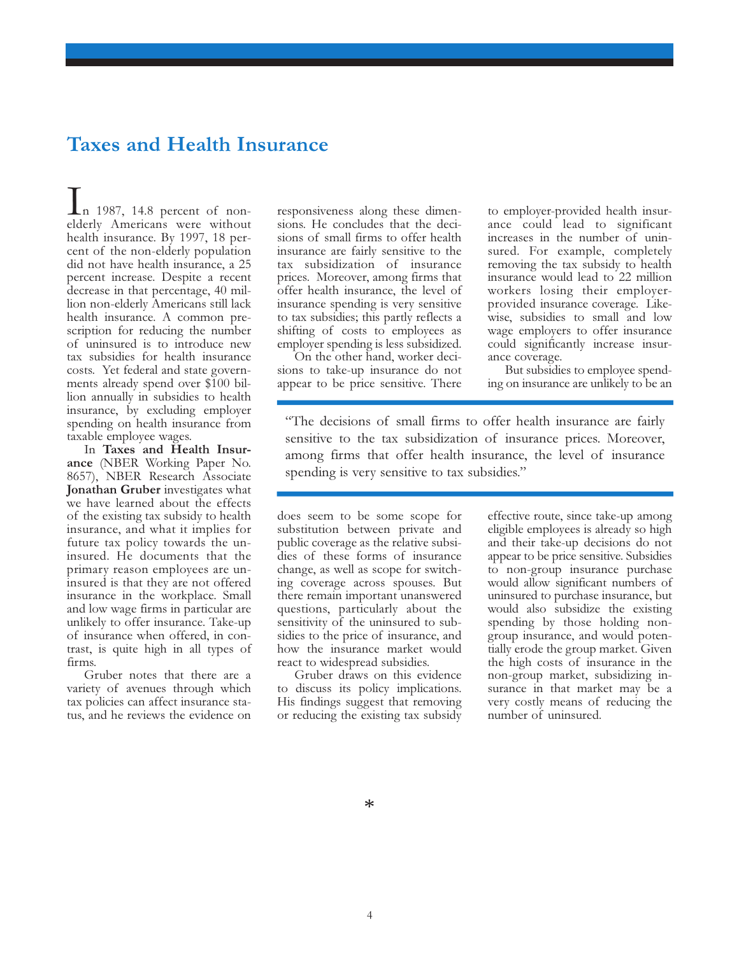### Taxes and Health Insurance

 $\ln$  1987, 14.8 percent of nonelderly Americans were without health insurance. By 1997, 18 percent of the non-elderly population did not have health insurance, a 25 percent increase. Despite a recent decrease in that percentage, 40 million non-elderly Americans still lack health insurance. A common prescription for reducing the number of uninsured is to introduce new tax subsidies for health insurance costs. Yet federal and state governments already spend over \$100 billion annually in subsidies to health insurance, by excluding employer spending on health insurance from taxable employee wages.

In Taxes and Health Insurance (NBER Working Paper No. 8657), NBER Research Associate Jonathan Gruber investigates what we have learned about the effects of the existing tax subsidy to health insurance, and what it implies for future tax policy towards the uninsured. He documents that the primary reason employees are uninsured is that they are not offered insurance in the workplace. Small and low wage firms in particular are unlikely to offer insurance. Take-up of insurance when offered, in contrast, is quite high in all types of firms.

Gruber notes that there are a variety of avenues through which tax policies can affect insurance status, and he reviews the evidence on

responsiveness along these dimensions. He concludes that the decisions of small firms to offer health insurance are fairly sensitive to the tax subsidization of insurance prices. Moreover, among firms that offer health insurance, the level of insurance spending is very sensitive to tax subsidies; this partly reflects a shifting of costs to employees as employer spending is less subsidized.

On the other hand, worker decisions to take-up insurance do not appear to be price sensitive. There to employer-provided health insurance could lead to significant increases in the number of uninsured. For example, completely removing the tax subsidy to health insurance would lead to 22 million workers losing their employerprovided insurance coverage. Likewise, subsidies to small and low wage employers to offer insurance could significantly increase insurance coverage.

But subsidies to employee spending on insurance are unlikely to be an

"The decisions of small firms to offer health insurance are fairly sensitive to the tax subsidization of insurance prices. Moreover, among firms that offer health insurance, the level of insurance spending is very sensitive to tax subsidies."

does seem to be some scope for substitution between private and public coverage as the relative subsidies of these forms of insurance change, as well as scope for switching coverage across spouses. But there remain important unanswered questions, particularly about the sensitivity of the uninsured to subsidies to the price of insurance, and how the insurance market would react to widespread subsidies.

Gruber draws on this evidence to discuss its policy implications. His findings suggest that removing or reducing the existing tax subsidy effective route, since take-up among eligible employees is already so high and their take-up decisions do not appear to be price sensitive. Subsidies to non-group insurance purchase would allow significant numbers of uninsured to purchase insurance, but would also subsidize the existing spending by those holding nongroup insurance, and would potentially erode the group market. Given the high costs of insurance in the non-group market, subsidizing insurance in that market may be a very costly means of reducing the number of uninsured.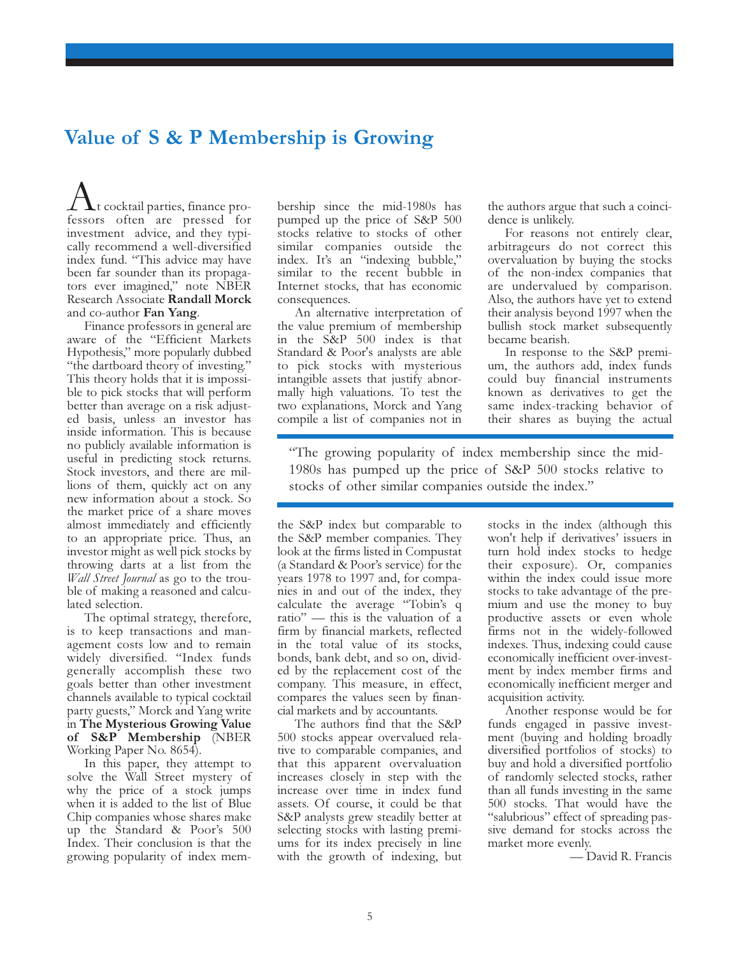# Value of S & P Membership is Growing

 $\perp \mathbf{\Lambda}$ t cocktail parties, finance professors often are pressed for investment advice, and they typically recommend a well-diversified index fund. "This advice may have been far sounder than its propagators ever imagined," note NBER Research Associate Randall Morck and co-author Fan Yang.

Finance professors in general are aware of the "Efficient Markets Hypothesis," more popularly dubbed "the dartboard theory of investing." This theory holds that it is impossible to pick stocks that will perform better than average on a risk adjusted basis, unless an investor has inside information. This is because no publicly available information is useful in predicting stock returns. Stock investors, and there are millions of them, quickly act on any new information about a stock. So the market price of a share moves almost immediately and efficiently to an appropriate price. Thus, an investor might as well pick stocks by throwing darts at a list from the *Wall Street Journal* as go to the trouble of making a reasoned and calculated selection.

The optimal strategy, therefore, is to keep transactions and management costs low and to remain widely diversified. "Index funds generally accomplish these two goals better than other investment channels available to typical cocktail party guests," Morck and Yang write in The Mysterious Growing Value of S&P Membership (NBER Working Paper No. 8654).

In this paper, they attempt to solve the Wall Street mystery of why the price of a stock jumps when it is added to the list of Blue Chip companies whose shares make up the Standard & Poor's 500 Index. Their conclusion is that the growing popularity of index mem-

bership since the mid-1980s has pumped up the price of S&P 500 stocks relative to stocks of other similar companies outside the index. It's an "indexing bubble," similar to the recent bubble in Internet stocks, that has economic consequences.

An alternative interpretation of the value premium of membership in the S&P 500 index is that Standard & Poor's analysts are able to pick stocks with mysterious intangible assets that justify abnormally high valuations. To test the two explanations, Morck and Yang compile a list of companies not in the authors argue that such a coincidence is unlikely.

For reasons not entirely clear, arbitrageurs do not correct this overvaluation by buying the stocks of the non-index companies that are undervalued by comparison. Also, the authors have yet to extend their analysis beyond 1997 when the bullish stock market subsequently became bearish.

In response to the S&P premium, the authors add, index funds could buy financial instruments known as derivatives to get the same index-tracking behavior of their shares as buying the actual

"The growing popularity of index membership since the mid-1980s has pumped up the price of S&P 500 stocks relative to stocks of other similar companies outside the index."

the S&P index but comparable to the S&P member companies. They look at the firms listed in Compustat (a Standard & Poor's service) for the years 1978 to 1997 and, for companies in and out of the index, they calculate the average "Tobin's q ratio" — this is the valuation of a firm by financial markets, reflected in the total value of its stocks, bonds, bank debt, and so on, divided by the replacement cost of the company. This measure, in effect, compares the values seen by financial markets and by accountants.

The authors find that the S&P 500 stocks appear overvalued relative to comparable companies, and that this apparent overvaluation increases closely in step with the increase over time in index fund assets. Of course, it could be that S&P analysts grew steadily better at selecting stocks with lasting premiums for its index precisely in line with the growth of indexing, but stocks in the index (although this won't help if derivatives' issuers in turn hold index stocks to hedge their exposure). Or, companies within the index could issue more stocks to take advantage of the premium and use the money to buy productive assets or even whole firms not in the widely-followed indexes. Thus, indexing could cause economically inefficient over-investment by index member firms and economically inefficient merger and acquisition activity.

Another response would be for funds engaged in passive investment (buying and holding broadly diversified portfolios of stocks) to buy and hold a diversified portfolio of randomly selected stocks, rather than all funds investing in the same 500 stocks. That would have the "salubrious" effect of spreading passive demand for stocks across the market more evenly.

— David R. Francis